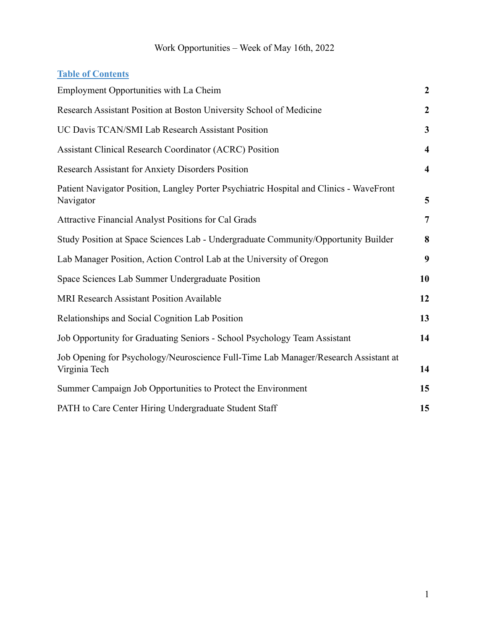# **Table of Contents**

| Employment Opportunities with La Cheim                                                               | $\boldsymbol{2}$        |
|------------------------------------------------------------------------------------------------------|-------------------------|
| Research Assistant Position at Boston University School of Medicine                                  | $\boldsymbol{2}$        |
| UC Davis TCAN/SMI Lab Research Assistant Position                                                    | $\mathbf{3}$            |
| <b>Assistant Clinical Research Coordinator (ACRC) Position</b>                                       | $\overline{\mathbf{4}}$ |
| <b>Research Assistant for Anxiety Disorders Position</b>                                             | $\overline{\mathbf{4}}$ |
| Patient Navigator Position, Langley Porter Psychiatric Hospital and Clinics - WaveFront<br>Navigator | 5                       |
| <b>Attractive Financial Analyst Positions for Cal Grads</b>                                          | 7                       |
| Study Position at Space Sciences Lab - Undergraduate Community/Opportunity Builder                   | 8                       |
| Lab Manager Position, Action Control Lab at the University of Oregon                                 | 9                       |
| Space Sciences Lab Summer Undergraduate Position                                                     | 10                      |
| MRI Research Assistant Position Available                                                            | 12                      |
| Relationships and Social Cognition Lab Position                                                      | 13                      |
| Job Opportunity for Graduating Seniors - School Psychology Team Assistant                            | 14                      |
| Job Opening for Psychology/Neuroscience Full-Time Lab Manager/Research Assistant at<br>Virginia Tech | 14                      |
| Summer Campaign Job Opportunities to Protect the Environment                                         | 15                      |
| PATH to Care Center Hiring Undergraduate Student Staff                                               | 15                      |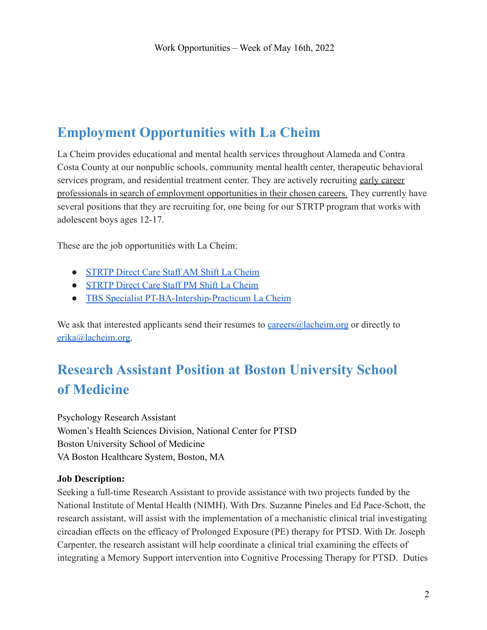# <span id="page-1-0"></span>**Employment Opportunities with La Cheim**

La Cheim provides educational and mental health services throughout Alameda and Contra Costa County at our nonpublic schools, community mental health center, therapeutic behavioral services program, and residential treatment center. They are actively recruiting early career professionals in search of employment opportunities in their chosen careers. They currently have several positions that they are recruiting for, one being for our STRTP program that works with adolescent boys ages 12-17.

These are the job opportunities with La Cheim:

- [STRTP Direct Care Staff AM Shift La Cheim](https://drive.google.com/file/d/1CTtZ9C9uM2gZKdXsUxbSDfJ-a6KUjZvJ/view?usp=sharing)
- [STRTP Direct Care Staff PM Shift La Cheim](https://drive.google.com/file/d/1UzEs8zW81SNRs_ZoOrF-nDNeyi-Q8Kxx/view?usp=sharing)
- [TBS Specialist PT-BA-Intership-Practicum La Cheim](https://drive.google.com/file/d/17SnY9dBP-sb2noR1Z1KhYIcMtZflK5cX/view?usp=sharing)

We ask that interested applicants send their resumes to [careers@lacheim.org](mailto:careers@lacheim.org) or directly to [erika@lacheim.org.](mailto:erika@lacheim.org)

# <span id="page-1-1"></span>**Research Assistant Position at Boston University School of Medicine**

Psychology Research Assistant Women's Health Sciences Division, National Center for PTSD Boston University School of Medicine VA Boston Healthcare System, Boston, MA

## **Job Description:**

Seeking a full-time Research Assistant to provide assistance with two projects funded by the National Institute of Mental Health (NIMH). With Drs. Suzanne Pineles and Ed Pace-Schott, the research assistant, will assist with the implementation of a mechanistic clinical trial investigating circadian effects on the efficacy of Prolonged Exposure (PE) therapy for PTSD. With Dr. Joseph Carpenter, the research assistant will help coordinate a clinical trial examining the effects of integrating a Memory Support intervention into Cognitive Processing Therapy for PTSD. Duties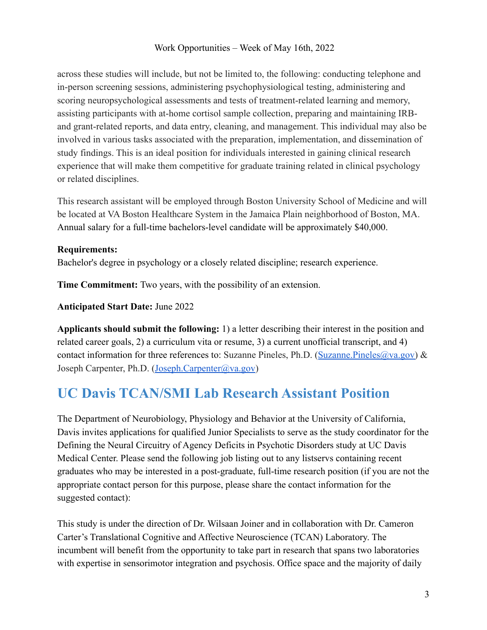across these studies will include, but not be limited to, the following: conducting telephone and in-person screening sessions, administering psychophysiological testing, administering and scoring neuropsychological assessments and tests of treatment-related learning and memory, assisting participants with at-home cortisol sample collection, preparing and maintaining IRBand grant-related reports, and data entry, cleaning, and management. This individual may also be involved in various tasks associated with the preparation, implementation, and dissemination of study findings. This is an ideal position for individuals interested in gaining clinical research experience that will make them competitive for graduate training related in clinical psychology or related disciplines.

This research assistant will be employed through Boston University School of Medicine and will be located at VA Boston Healthcare System in the Jamaica Plain neighborhood of Boston, MA. Annual salary for a full-time bachelors-level candidate will be approximately \$40,000.

#### **Requirements:**

Bachelor's degree in psychology or a closely related discipline; research experience.

**Time Commitment:** Two years, with the possibility of an extension.

**Anticipated Start Date:** June 2022

**Applicants should submit the following:** 1) a letter describing their interest in the position and related career goals, 2) a curriculum vita or resume, 3) a current unofficial transcript, and 4) contact information for three references to: Suzanne Pineles, Ph.D. ([Suzanne.Pineles@va.gov\)](mailto:Suzanne.Pineles@va.gov) & Joseph Carpenter, Ph.D. ([Joseph.Carpenter@va.gov](mailto:Joseph.Carpenter@va.gov))

# <span id="page-2-0"></span>**UC Davis TCAN/SMI Lab Research Assistant Position**

The Department of Neurobiology, Physiology and Behavior at the University of California, Davis invites applications for qualified Junior Specialists to serve as the study coordinator for the Defining the Neural Circuitry of Agency Deficits in Psychotic Disorders study at UC Davis Medical Center. Please send the following job listing out to any listservs containing recent graduates who may be interested in a post-graduate, full-time research position (if you are not the appropriate contact person for this purpose, please share the contact information for the suggested contact):

This study is under the direction of Dr. Wilsaan Joiner and in collaboration with Dr. Cameron Carter's Translational Cognitive and Affective Neuroscience (TCAN) Laboratory. The incumbent will benefit from the opportunity to take part in research that spans two laboratories with expertise in sensorimotor integration and psychosis. Office space and the majority of daily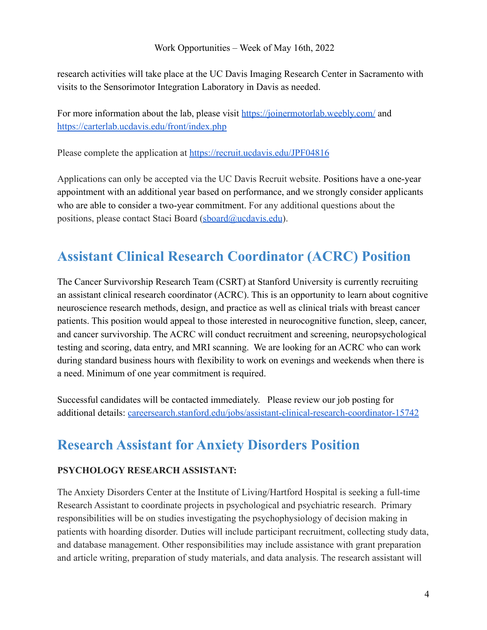research activities will take place at the UC Davis Imaging Research Center in Sacramento with visits to the Sensorimotor Integration Laboratory in Davis as needed.

For more information about the lab, please visit <https://joinermotorlab.weebly.com/> and <https://carterlab.ucdavis.edu/front/index.php>

Please complete the application at <https://recruit.ucdavis.edu/JPF04816>

Applications can only be accepted via the UC Davis Recruit website. Positions have a one-year appointment with an additional year based on performance, and we strongly consider applicants who are able to consider a two-year commitment. For any additional questions about the positions, please contact Staci Board [\(sboard@ucdavis.edu](mailto:sboard@ucdavis.edu)).

# <span id="page-3-0"></span>**Assistant Clinical Research Coordinator (ACRC) Position**

The Cancer Survivorship Research Team (CSRT) at Stanford University is currently recruiting an assistant clinical research coordinator (ACRC). This is an opportunity to learn about cognitive neuroscience research methods, design, and practice as well as clinical trials with breast cancer patients. This position would appeal to those interested in neurocognitive function, sleep, cancer, and cancer survivorship. The ACRC will conduct recruitment and screening, neuropsychological testing and scoring, data entry, and MRI scanning. We are looking for an ACRC who can work during standard business hours with flexibility to work on evenings and weekends when there is a need. Minimum of one year commitment is required.

Successful candidates will be contacted immediately. Please review our job posting for additional details: [careersearch.stanford.edu/jobs/assistant-clinical-research-coordinator-15742](https://careersearch.stanford.edu/jobs/assistant-clinical-research-coordinator-15742)

# <span id="page-3-1"></span>**Research Assistant for Anxiety Disorders Position**

## **PSYCHOLOGY RESEARCH ASSISTANT:**

The Anxiety Disorders Center at the Institute of Living/Hartford Hospital is seeking a full-time Research Assistant to coordinate projects in psychological and psychiatric research. Primary responsibilities will be on studies investigating the psychophysiology of decision making in patients with hoarding disorder. Duties will include participant recruitment, collecting study data, and database management. Other responsibilities may include assistance with grant preparation and article writing, preparation of study materials, and data analysis. The research assistant will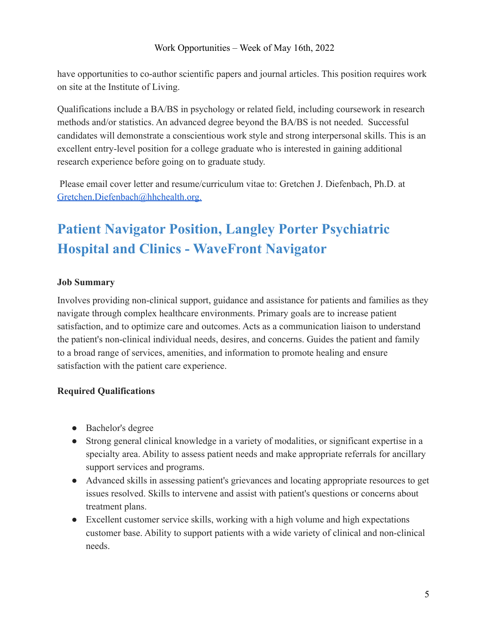have opportunities to co-author scientific papers and journal articles. This position requires work on site at the Institute of Living.

Qualifications include a BA/BS in psychology or related field, including coursework in research methods and/or statistics. An advanced degree beyond the BA/BS is not needed. Successful candidates will demonstrate a conscientious work style and strong interpersonal skills. This is an excellent entry-level position for a college graduate who is interested in gaining additional research experience before going on to graduate study.

Please email cover letter and resume/curriculum vitae to: Gretchen J. Diefenbach, Ph.D. at [Gretchen.Diefenbach@hhchealth.org.](mailto:Gretchen.Diefenbach@hhchealth.org)

# <span id="page-4-0"></span>**Patient Navigator Position, Langley Porter Psychiatric Hospital and Clinics - WaveFront Navigator**

#### **Job Summary**

Involves providing non-clinical support, guidance and assistance for patients and families as they navigate through complex healthcare environments. Primary goals are to increase patient satisfaction, and to optimize care and outcomes. Acts as a communication liaison to understand the patient's non-clinical individual needs, desires, and concerns. Guides the patient and family to a broad range of services, amenities, and information to promote healing and ensure satisfaction with the patient care experience.

#### **Required Qualifications**

- Bachelor's degree
- Strong general clinical knowledge in a variety of modalities, or significant expertise in a specialty area. Ability to assess patient needs and make appropriate referrals for ancillary support services and programs.
- Advanced skills in assessing patient's grievances and locating appropriate resources to get issues resolved. Skills to intervene and assist with patient's questions or concerns about treatment plans.
- Excellent customer service skills, working with a high volume and high expectations customer base. Ability to support patients with a wide variety of clinical and non-clinical needs.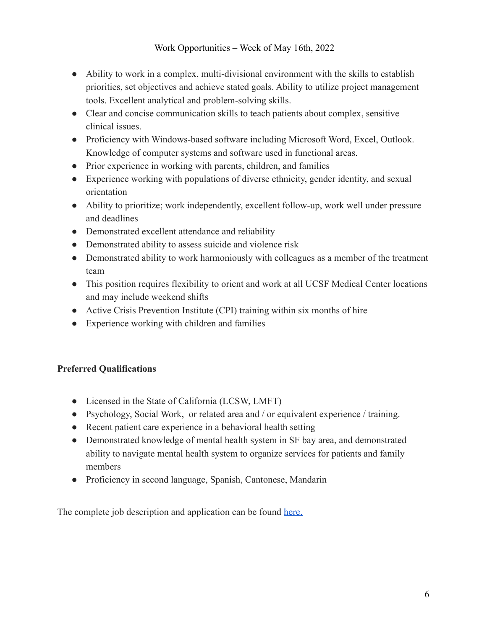- Ability to work in a complex, multi-divisional environment with the skills to establish priorities, set objectives and achieve stated goals. Ability to utilize project management tools. Excellent analytical and problem-solving skills.
- Clear and concise communication skills to teach patients about complex, sensitive clinical issues.
- Proficiency with Windows-based software including Microsoft Word, Excel, Outlook. Knowledge of computer systems and software used in functional areas.
- Prior experience in working with parents, children, and families
- Experience working with populations of diverse ethnicity, gender identity, and sexual orientation
- Ability to prioritize; work independently, excellent follow-up, work well under pressure and deadlines
- Demonstrated excellent attendance and reliability
- Demonstrated ability to assess suicide and violence risk
- Demonstrated ability to work harmoniously with colleagues as a member of the treatment team
- This position requires flexibility to orient and work at all UCSF Medical Center locations and may include weekend shifts
- Active Crisis Prevention Institute (CPI) training within six months of hire
- Experience working with children and families

## **Preferred Qualifications**

- Licensed in the State of California (LCSW, LMFT)
- Psychology, Social Work, or related area and / or equivalent experience / training.
- Recent patient care experience in a behavioral health setting
- Demonstrated knowledge of mental health system in SF bay area, and demonstrated ability to navigate mental health system to organize services for patients and family members
- Proficiency in second language, Spanish, Cantonese, Mandarin

The complete job description and application can be found [here.](https://sjobs.brassring.com/TGnewUI/Search/home/HomeWithPreLoad?PageType=JobDetails&partnerid=6495&siteid=5861&Areq=64504BR#jobDetails=3254986_5861)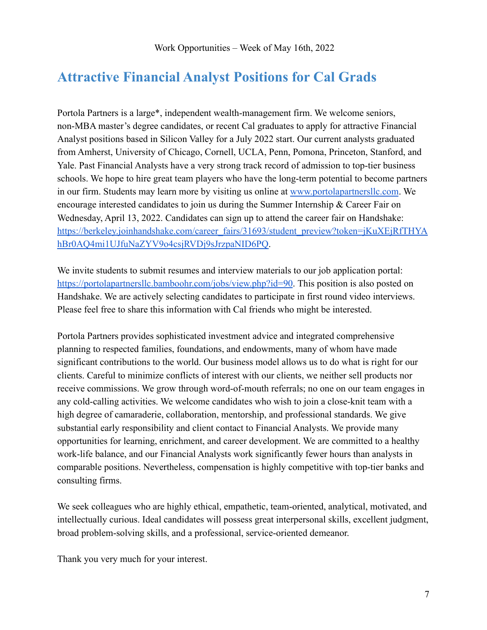# <span id="page-6-0"></span>**Attractive Financial Analyst Positions for Cal Grads**

Portola Partners is a large\*, independent wealth-management firm. We welcome seniors, non-MBA master's degree candidates, or recent Cal graduates to apply for attractive Financial Analyst positions based in Silicon Valley for a July 2022 start. Our current analysts graduated from Amherst, University of Chicago, Cornell, UCLA, Penn, Pomona, Princeton, Stanford, and Yale. Past Financial Analysts have a very strong track record of admission to top-tier business schools. We hope to hire great team players who have the long-term potential to become partners in our firm. Students may learn more by visiting us online at [www.portolapartnersllc.com](http://www.portolapartnersllc.com/). We encourage interested candidates to join us during the Summer Internship & Career Fair on Wednesday, April 13, 2022. Candidates can sign up to attend the career fair on Handshake: [https://berkeley.joinhandshake.com/career\\_fairs/31693/student\\_preview?token=jKuXEjRfTHYA](https://berkeley.joinhandshake.com/career_fairs/31693/student_preview?token=jKuXEjRfTHYAhBr0AQ4mi1UJfuNaZYV9o4csjRVDj9sJrzpaNID6PQ) [hBr0AQ4mi1UJfuNaZYV9o4csjRVDj9sJrzpaNID6PQ.](https://berkeley.joinhandshake.com/career_fairs/31693/student_preview?token=jKuXEjRfTHYAhBr0AQ4mi1UJfuNaZYV9o4csjRVDj9sJrzpaNID6PQ)

We invite students to submit resumes and interview materials to our job application portal: <https://portolapartnersllc.bamboohr.com/jobs/view.php?id=90>. This position is also posted on Handshake. We are actively selecting candidates to participate in first round video interviews. Please feel free to share this information with Cal friends who might be interested.

Portola Partners provides sophisticated investment advice and integrated comprehensive planning to respected families, foundations, and endowments, many of whom have made significant contributions to the world. Our business model allows us to do what is right for our clients. Careful to minimize conflicts of interest with our clients, we neither sell products nor receive commissions. We grow through word-of-mouth referrals; no one on our team engages in any cold-calling activities. We welcome candidates who wish to join a close-knit team with a high degree of camaraderie, collaboration, mentorship, and professional standards. We give substantial early responsibility and client contact to Financial Analysts. We provide many opportunities for learning, enrichment, and career development. We are committed to a healthy work-life balance, and our Financial Analysts work significantly fewer hours than analysts in comparable positions. Nevertheless, compensation is highly competitive with top-tier banks and consulting firms.

We seek colleagues who are highly ethical, empathetic, team-oriented, analytical, motivated, and intellectually curious. Ideal candidates will possess great interpersonal skills, excellent judgment, broad problem-solving skills, and a professional, service-oriented demeanor.

Thank you very much for your interest.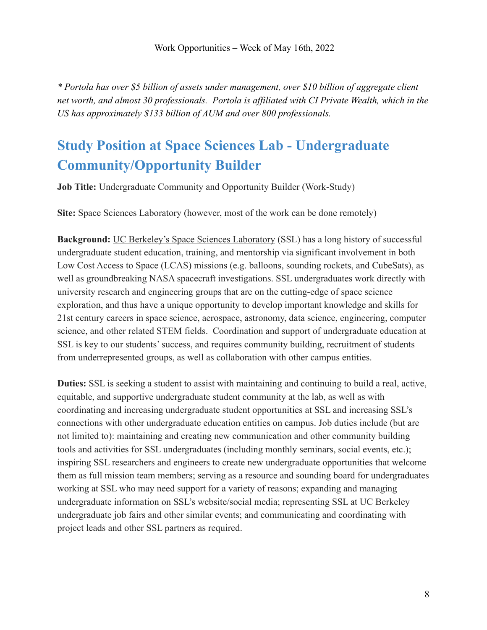*\* Portola has over \$5 billion of assets under management, over \$10 billion of aggregate client net worth, and almost 30 professionals. Portola is affiliated with CI Private Wealth, which in the US has approximately \$133 billion of AUM and over 800 professionals.*

# <span id="page-7-0"></span>**Study Position at Space Sciences Lab - Undergraduate Community/Opportunity Builder**

**Job Title:** Undergraduate Community and Opportunity Builder (Work-Study)

**Site:** Space Sciences Laboratory (however, most of the work can be done remotely)

**Background:** [UC Berkeley's Space Sciences Laboratory](https://www.ssl.berkeley.edu/) (SSL) has a long history of successful undergraduate student education, training, and mentorship via significant involvement in both Low Cost Access to Space (LCAS) missions (e.g. balloons, sounding rockets, and CubeSats), as well as groundbreaking NASA spacecraft investigations. SSL undergraduates work directly with university research and engineering groups that are on the cutting-edge of space science exploration, and thus have a unique opportunity to develop important knowledge and skills for 21st century careers in space science, aerospace, astronomy, data science, engineering, computer science, and other related STEM fields. Coordination and support of undergraduate education at SSL is key to our students' success, and requires community building, recruitment of students from underrepresented groups, as well as collaboration with other campus entities.

**Duties:** SSL is seeking a student to assist with maintaining and continuing to build a real, active, equitable, and supportive undergraduate student community at the lab, as well as with coordinating and increasing undergraduate student opportunities at SSL and increasing SSL's connections with other undergraduate education entities on campus. Job duties include (but are not limited to): maintaining and creating new communication and other community building tools and activities for SSL undergraduates (including monthly seminars, social events, etc.); inspiring SSL researchers and engineers to create new undergraduate opportunities that welcome them as full mission team members; serving as a resource and sounding board for undergraduates working at SSL who may need support for a variety of reasons; expanding and managing undergraduate information on SSL's website/social media; representing SSL at UC Berkeley undergraduate job fairs and other similar events; and communicating and coordinating with project leads and other SSL partners as required.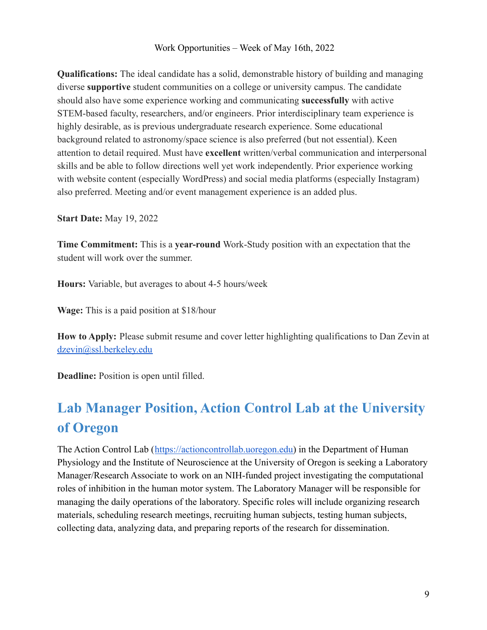**Qualifications:** The ideal candidate has a solid, demonstrable history of building and managing diverse **supportive** student communities on a college or university campus. The candidate should also have some experience working and communicating **successfully** with active STEM-based faculty, researchers, and/or engineers. Prior interdisciplinary team experience is highly desirable, as is previous undergraduate research experience. Some educational background related to astronomy/space science is also preferred (but not essential). Keen attention to detail required. Must have **excellent** written/verbal communication and interpersonal skills and be able to follow directions well yet work independently. Prior experience working with website content (especially WordPress) and social media platforms (especially Instagram) also preferred. Meeting and/or event management experience is an added plus.

**Start Date:** May 19, 2022

**Time Commitment:** This is a **year-round** Work-Study position with an expectation that the student will work over the summer.

**Hours:** Variable, but averages to about 4-5 hours/week

**Wage:** This is a paid position at \$18/hour

**How to Apply:** Please submit resume and cover letter highlighting qualifications to Dan Zevin at [dzevin@ssl.berkeley.edu](mailto:dzevin@ssl.berkeley.edu)

**Deadline:** Position is open until filled.

# <span id="page-8-0"></span>**Lab Manager Position, Action Control Lab at the University of Oregon**

The Action Control Lab ([https://actioncontrollab.uoregon.edu\)](https://actioncontrollab.uoregon.edu) in the Department of Human Physiology and the Institute of Neuroscience at the University of Oregon is seeking a Laboratory Manager/Research Associate to work on an NIH-funded project investigating the computational roles of inhibition in the human motor system. The Laboratory Manager will be responsible for managing the daily operations of the laboratory. Specific roles will include organizing research materials, scheduling research meetings, recruiting human subjects, testing human subjects, collecting data, analyzing data, and preparing reports of the research for dissemination.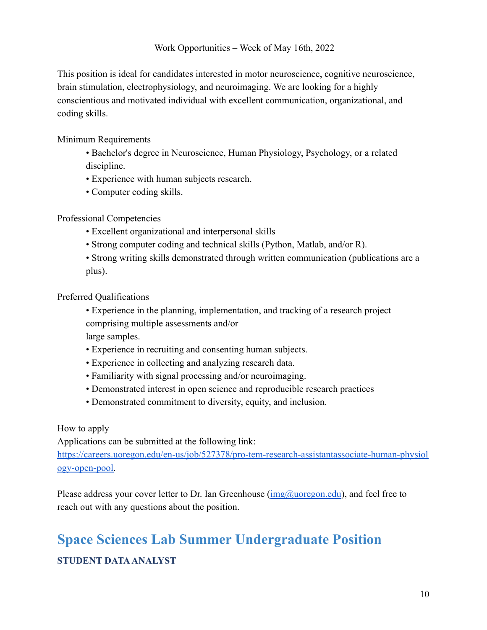This position is ideal for candidates interested in motor neuroscience, cognitive neuroscience, brain stimulation, electrophysiology, and neuroimaging. We are looking for a highly conscientious and motivated individual with excellent communication, organizational, and coding skills.

Minimum Requirements

- Bachelor's degree in Neuroscience, Human Physiology, Psychology, or a related discipline.
- Experience with human subjects research.
- Computer coding skills.

Professional Competencies

- Excellent organizational and interpersonal skills
- Strong computer coding and technical skills (Python, Matlab, and/or R).
- Strong writing skills demonstrated through written communication (publications are a plus).

Preferred Qualifications

- Experience in the planning, implementation, and tracking of a research project comprising multiple assessments and/or large samples.
- Experience in recruiting and consenting human subjects.
- Experience in collecting and analyzing research data.
- Familiarity with signal processing and/or neuroimaging.
- Demonstrated interest in open science and reproducible research practices
- Demonstrated commitment to diversity, equity, and inclusion.

How to apply

Applications can be submitted at the following link:

[https://careers.uoregon.edu/en-us/job/527378/pro-tem-research-assistantassociate-human-physiol](https://careers.uoregon.edu/en-us/job/527378/pro-tem-research-assistantassociate-human-physiology-open-pool) [ogy-open-pool.](https://careers.uoregon.edu/en-us/job/527378/pro-tem-research-assistantassociate-human-physiology-open-pool)

Please address your cover letter to Dr. Ian Greenhouse  $(\text{img@luoregon.edu})$ , and feel free to reach out with any questions about the position.

# <span id="page-9-0"></span>**Space Sciences Lab Summer Undergraduate Position STUDENT DATAANALYST**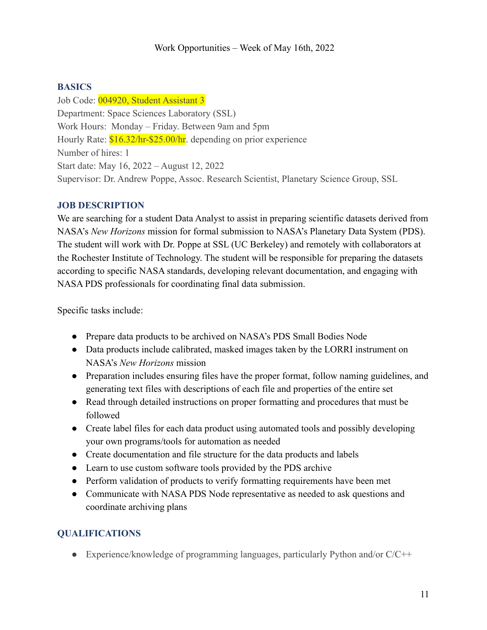## **BASICS**

Job Code: 004920, Student Assistant 3 Department: Space Sciences Laboratory (SSL) Work Hours: Monday – Friday. Between 9am and 5pm Hourly Rate:  $$16.32/hr - $25.00/hr$ . depending on prior experience Number of hires: 1 Start date: May 16, 2022 – August 12, 2022 Supervisor: Dr. Andrew Poppe, Assoc. Research Scientist, Planetary Science Group, SSL

## **JOB DESCRIPTION**

We are searching for a student Data Analyst to assist in preparing scientific datasets derived from NASA's *New Horizons* mission for formal submission to NASA's Planetary Data System (PDS). The student will work with Dr. Poppe at SSL (UC Berkeley) and remotely with collaborators at the Rochester Institute of Technology. The student will be responsible for preparing the datasets according to specific NASA standards, developing relevant documentation, and engaging with NASA PDS professionals for coordinating final data submission.

Specific tasks include:

- Prepare data products to be archived on NASA's PDS Small Bodies Node
- Data products include calibrated, masked images taken by the LORRI instrument on NASA's *New Horizons* mission
- Preparation includes ensuring files have the proper format, follow naming guidelines, and generating text files with descriptions of each file and properties of the entire set
- Read through detailed instructions on proper formatting and procedures that must be followed
- Create label files for each data product using automated tools and possibly developing your own programs/tools for automation as needed
- Create documentation and file structure for the data products and labels
- Learn to use custom software tools provided by the PDS archive
- Perform validation of products to verify formatting requirements have been met
- Communicate with NASA PDS Node representative as needed to ask questions and coordinate archiving plans

## **QUALIFICATIONS**

• Experience/knowledge of programming languages, particularly Python and/or C/C++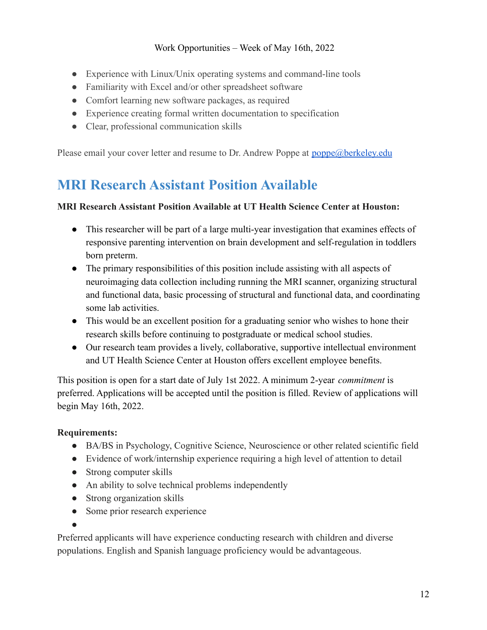- Experience with Linux/Unix operating systems and command-line tools
- Familiarity with Excel and/or other spreadsheet software
- Comfort learning new software packages, as required
- Experience creating formal written documentation to specification
- Clear, professional communication skills

<span id="page-11-0"></span>Please email your cover letter and resume to Dr. Andrew Poppe at [poppe@berkeley.edu](mailto:poppe@berkeley.edu)

# **MRI Research Assistant Position Available**

#### **MRI Research Assistant Position Available at UT Health Science Center at Houston:**

- This researcher will be part of a large multi-year investigation that examines effects of responsive parenting intervention on brain development and self-regulation in toddlers born preterm.
- The primary responsibilities of this position include assisting with all aspects of neuroimaging data collection including running the MRI scanner, organizing structural and functional data, basic processing of structural and functional data, and coordinating some lab activities.
- This would be an excellent position for a graduating senior who wishes to hone their research skills before continuing to postgraduate or medical school studies.
- Our research team provides a lively, collaborative, supportive intellectual environment and UT Health Science Center at Houston offers excellent employee benefits.

This position is open for a start date of July 1st 2022. A minimum 2-year *commitment* is preferred. Applications will be accepted until the position is filled. Review of applications will begin May 16th, 2022.

#### **Requirements:**

- BA/BS in Psychology, Cognitive Science, Neuroscience or other related scientific field
- Evidence of work/internship experience requiring a high level of attention to detail
- Strong computer skills
- An ability to solve technical problems independently
- Strong organization skills
- Some prior research experience
- ●

Preferred applicants will have experience conducting research with children and diverse populations. English and Spanish language proficiency would be advantageous.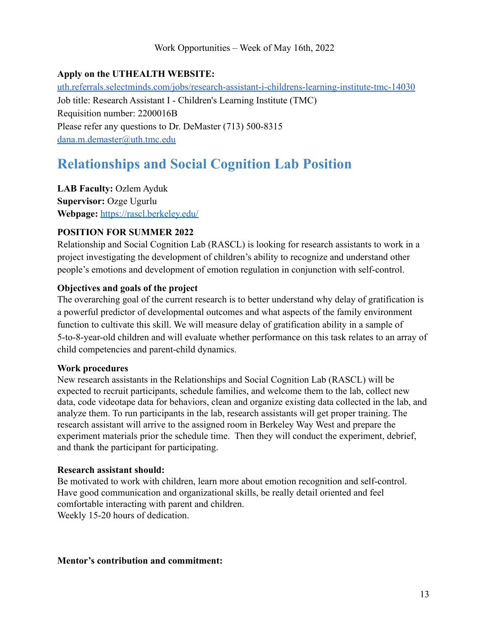## **Apply on the UTHEALTH WEBSITE:**

[uth.referrals.selectminds.com/jobs/research-assistant-i-childrens-learning-institute-tmc-14030](https://uth.referrals.selectminds.com/jobs/research-assistant-i-childrens-learning-institute-tmc-14030) Job title: Research Assistant I - Children's Learning Institute (TMC) Requisition number: 2200016B Please refer any questions to Dr. DeMaster (713) 500-8315 [dana.m.demaster@uth.tmc.edu](mailto:dana.m.demaster@uth.tmc.edu)

# <span id="page-12-0"></span>**Relationships and Social Cognition Lab Position**

**LAB Faculty:** Ozlem Ayduk **Supervisor:** Ozge Ugurlu **Webpage:** <https://rascl.berkeley.edu/>

#### **POSITION FOR SUMMER 2022**

Relationship and Social Cognition Lab (RASCL) is looking for research assistants to work in a project investigating the development of children's ability to recognize and understand other people's emotions and development of emotion regulation in conjunction with self-control.

#### **Objectives and goals of the project**

The overarching goal of the current research is to better understand why delay of gratification is a powerful predictor of developmental outcomes and what aspects of the family environment function to cultivate this skill. We will measure delay of gratification ability in a sample of 5-to-8-year-old children and will evaluate whether performance on this task relates to an array of child competencies and parent-child dynamics.

#### **Work procedures**

New research assistants in the Relationships and Social Cognition Lab (RASCL) will be expected to recruit participants, schedule families, and welcome them to the lab, collect new data, code videotape data for behaviors, clean and organize existing data collected in the lab, and analyze them. To run participants in the lab, research assistants will get proper training. The research assistant will arrive to the assigned room in Berkeley Way West and prepare the experiment materials prior the schedule time. Then they will conduct the experiment, debrief, and thank the participant for participating.

#### **Research assistant should:**

Be motivated to work with children, learn more about emotion recognition and self-control. Have good communication and organizational skills, be really detail oriented and feel comfortable interacting with parent and children. Weekly 15-20 hours of dedication.

#### **Mentor's contribution and commitment:**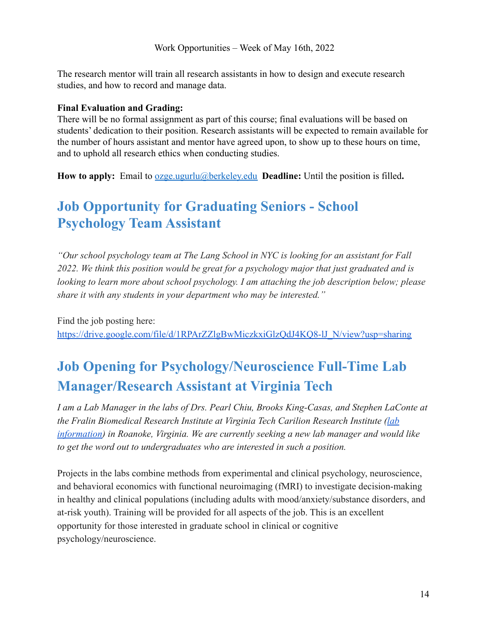The research mentor will train all research assistants in how to design and execute research studies, and how to record and manage data.

#### **Final Evaluation and Grading:**

There will be no formal assignment as part of this course; final evaluations will be based on students' dedication to their position. Research assistants will be expected to remain available for the number of hours assistant and mentor have agreed upon, to show up to these hours on time, and to uphold all research ethics when conducting studies.

**How to apply:** Email to [ozge.ugurlu@berkeley.edu](mailto:ozge.ugurlu@berkeley.edu) **Deadline:** Until the position is filled**.**

# <span id="page-13-0"></span>**Job Opportunity for Graduating Seniors - School Psychology Team Assistant**

*"Our school psychology team at The Lang School in NYC is looking for an assistant for Fall 2022. We think this position would be great for a psychology major that just graduated and is looking to learn more about school psychology. I am attaching the job description below; please share it with any students in your department who may be interested."*

Find the job posting here: [https://drive.google.com/file/d/1RPArZZlgBwMiczkxiGlzQdJ4KQ8-lJ\\_N/view?usp=sharing](https://drive.google.com/file/d/1RPArZZlgBwMiczkxiGlzQdJ4KQ8-lJ_N/view?usp=sharing)

# <span id="page-13-1"></span>**Job Opening for Psychology/Neuroscience Full-Time Lab Manager/Research Assistant at Virginia Tech**

*I am a Lab Manager in the labs of Drs. Pearl Chiu, Brooks King-Casas, and Stephen LaConte at the Fralin Biomedical Research Institute at Virginia Tech Carilion Research Institute ([lab](https://fbri.vtc.vt.edu/research/labs.html) [information\)](https://fbri.vtc.vt.edu/research/labs.html) in Roanoke, Virginia. We are currently seeking a new lab manager and would like to get the word out to undergraduates who are interested in such a position.*

Projects in the labs combine methods from experimental and clinical psychology, neuroscience, and behavioral economics with functional neuroimaging (fMRI) to investigate decision-making in healthy and clinical populations (including adults with mood/anxiety/substance disorders, and at-risk youth). Training will be provided for all aspects of the job. This is an excellent opportunity for those interested in graduate school in clinical or cognitive psychology/neuroscience.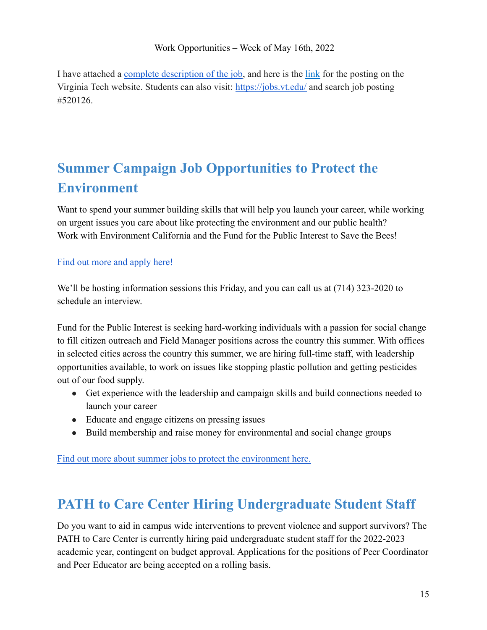I have attached a [complete description of the job](https://drive.google.com/file/d/14yUV395ya5akZRHtrfJwBs2ITnTf_T8O/view?usp=sharing), and here is the [link](https://careers.pageuppeople.com/968/cw/en-us/job/520126/research-assistantlab-manager) for the posting on the Virginia Tech website. Students can also visit: <https://jobs.vt.edu/> and search job posting #520126.

# <span id="page-14-0"></span>**Summer Campaign Job Opportunities to Protect the Environment**

Want to spend your summer building skills that will help you launch your career, while working on urgent issues you care about like protecting the environment and our public health? Work with Environment California and the Fund for the Public Interest to Save the Bees!

## [Find out more and apply here!](https://publicinterestnetwork-dot-yamm-track.appspot.com/1ESYj5fdDVxEuosnA10YhOmQ63YaMyS6oeCrRRODCbwhulDCLgAFNepVXTe6L7a-k_ntU9g4qgCVVdlc2Vnmv1OOOFMPc1RFA9MtXUfrEzOLmwR3bQfKX_s8Yk-Llo0AM0kJqynRI8Ho)

We'll be hosting information sessions this Friday, and you can call us at (714) 323-2020 to schedule an interview.

Fund for the Public Interest is seeking hard-working individuals with a passion for social change to fill citizen outreach and Field Manager positions across the country this summer. With offices in selected cities across the country this summer, we are hiring full-time staff, with leadership opportunities available, to work on issues like stopping plastic pollution and getting pesticides out of our food supply.

- Get experience with the leadership and campaign skills and build connections needed to launch your career
- Educate and engage citizens on pressing issues
- Build membership and raise money for environmental and social change groups

[Find out more about summer jobs to protect the environment here.](https://publicinterestnetwork-dot-yamm-track.appspot.com/1sMh_Nv1txQmNjfLtoFlIeXexIqhq2lzVXC9pp2_oFWdxlDCLgAFomM50JhEnElCaGkazK80GTukbNTuHNG37lJT8ppmHwZBoD7elOcYSticI24gk4WcmRipwNx_keonwdksJcxp31P4)

# <span id="page-14-1"></span>**PATH to Care Center Hiring Undergraduate Student Staff**

Do you want to aid in campus wide interventions to prevent violence and support survivors? The PATH to Care Center is currently hiring paid undergraduate student staff for the 2022-2023 academic year, contingent on budget approval. Applications for the positions of Peer Coordinator and Peer Educator are being accepted on a rolling basis.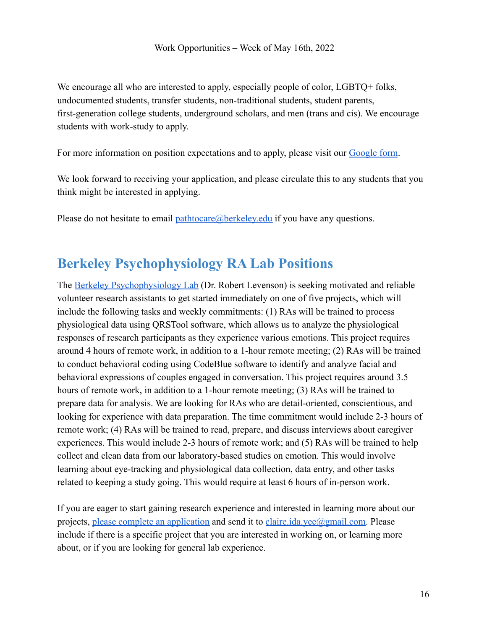We encourage all who are interested to apply, especially people of color, LGBTQ+ folks, undocumented students, transfer students, non-traditional students, student parents, first-generation college students, underground scholars, and men (trans and cis). We encourage students with work-study to apply.

For more information on position expectations and to apply, please visit our [Google form](https://docs.google.com/forms/d/e/1FAIpQLSfKmdMN8bl-nY8jiylgjdaozPaOUFA_tSW_r-AV62Jz-IfztQ/viewform).

We look forward to receiving your application, and please circulate this to any students that you think might be interested in applying.

Please do not hesitate to email [pathtocare@berkeley.edu](mailto:pathtocare@berkeley.edu) if you have any questions.

# **Berkeley Psychophysiology RA Lab Positions**

The [Berkeley Psychophysiology Lab](https://bpl.berkeley.edu/) (Dr. Robert Levenson) is seeking motivated and reliable volunteer research assistants to get started immediately on one of five projects, which will include the following tasks and weekly commitments: (1) RAs will be trained to process physiological data using QRSTool software, which allows us to analyze the physiological responses of research participants as they experience various emotions. This project requires around 4 hours of remote work, in addition to a 1-hour remote meeting; (2) RAs will be trained to conduct behavioral coding using CodeBlue software to identify and analyze facial and behavioral expressions of couples engaged in conversation. This project requires around 3.5 hours of remote work, in addition to a 1-hour remote meeting; (3) RAs will be trained to prepare data for analysis. We are looking for RAs who are detail-oriented, conscientious, and looking for experience with data preparation. The time commitment would include 2-3 hours of remote work; (4) RAs will be trained to read, prepare, and discuss interviews about caregiver experiences. This would include 2-3 hours of remote work; and (5) RAs will be trained to help collect and clean data from our laboratory-based studies on emotion. This would involve learning about eye-tracking and physiological data collection, data entry, and other tasks related to keeping a study going. This would require at least 6 hours of in-person work.

If you are eager to start gaining research experience and interested in learning more about our projects, [please complete an application](https://bpl.berkeley.edu/research_positions.html) and send it to [claire.ida.yee@gmail.com.](mailto:claire.ida.yee@gmail.com) Please include if there is a specific project that you are interested in working on, or learning more about, or if you are looking for general lab experience.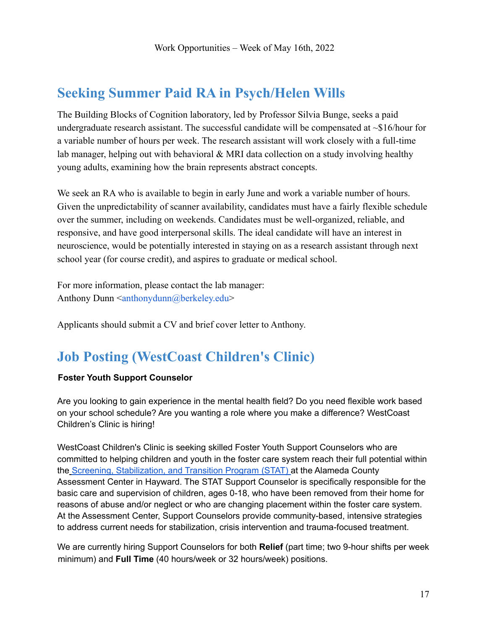# **Seeking Summer Paid RA in Psych/Helen Wills**

The Building Blocks of Cognition laboratory, led by Professor Silvia Bunge, seeks a paid undergraduate research assistant. The successful candidate will be compensated at  $\sim $16/h$ our for a variable number of hours per week. The research assistant will work closely with a full-time lab manager, helping out with behavioral  $&$  MRI data collection on a study involving healthy young adults, examining how the brain represents abstract concepts.

We seek an RA who is available to begin in early June and work a variable number of hours. Given the unpredictability of scanner availability, candidates must have a fairly flexible schedule over the summer, including on weekends. Candidates must be well-organized, reliable, and responsive, and have good interpersonal skills. The ideal candidate will have an interest in neuroscience, would be potentially interested in staying on as a research assistant through next school year (for course credit), and aspires to graduate or medical school.

For more information, please contact the lab manager: Anthony Dunn  $\leq$ anthonydunn@berkeley.edu>

Applicants should submit a CV and brief cover letter to Anthony.

# **Job Posting (WestCoast Children's Clinic)**

#### **Foster Youth Support Counselor**

Are you looking to gain experience in the mental health field? Do you need flexible work based on your school schedule? Are you wanting a role where you make a difference? WestCoast Children's Clinic is hiring!

WestCoast Children's Clinic is seeking skilled Foster Youth Support Counselors who are committed to helping children and youth in the foster care system reach their full potential within the Screening, Stabilization, and Transition Program (STAT) at the Alameda County Assessment Center in Hayward. The STAT Support Counselor is specifically responsible for the basic care and supervision of children, ages 0-18, who have been removed from their home for reasons of abuse and/or neglect or who are changing placement within the foster care system. At the Assessment Center, Support Counselors provide community-based, intensive strategies to address current needs for stabilization, crisis intervention and trauma-focused treatment.

We are currently hiring Support Counselors for both **Relief** (part time; two 9-hour shifts per week minimum) and **Full Time** (40 hours/week or 32 hours/week) positions.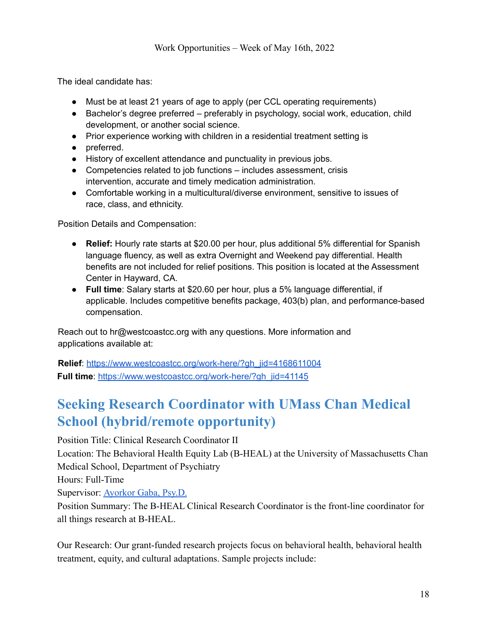The ideal candidate has:

- Must be at least 21 years of age to apply (per CCL operating requirements)
- Bachelor's degree preferred preferably in psychology, social work, education, child development, or another social science.
- Prior experience working with children in a residential treatment setting is
- preferred.
- History of excellent attendance and punctuality in previous jobs.
- Competencies related to job functions includes assessment, crisis intervention, accurate and timely medication administration.
- Comfortable working in a multicultural/diverse environment, sensitive to issues of race, class, and ethnicity.

Position Details and Compensation:

- **Relief:** Hourly rate starts at \$20.00 per hour, plus additional 5% differential for Spanish language fluency, as well as extra Overnight and Weekend pay differential. Health benefits are not included for relief positions. This position is located at the Assessment Center in Hayward, CA.
- **Full time**: Salary starts at \$20.60 per hour, plus a 5% language differential, if applicable. Includes competitive benefits package, 403(b) plan, and performance-based compensation.

Reach out to hr@westcoastcc.org with any questions. More information and applications available at:

**Relief**: https://www.westcoastcc.org/work-here/?gh\_jid=4168611004 **Full time**: [https://www.westcoastcc.org/work-here/?gh\\_jid=41145](https://www.westcoastcc.org/work-here/?gh_jid=41145)

# **Seeking Research Coordinator with UMass Chan Medical School (hybrid/remote opportunity)**

Position Title: Clinical Research Coordinator II Location: The Behavioral Health Equity Lab (B-HEAL) at the University of Massachusetts Chan Medical School, Department of Psychiatry Hours: Full-Time Supervisor: [Ayorkor Gaba, Psy.D.](https://profiles.umassmed.edu/display/17919094) Position Summary: The B-HEAL Clinical Research Coordinator is the front-line coordinator for

all things research at B-HEAL.

Our Research: Our grant-funded research projects focus on behavioral health, behavioral health treatment, equity, and cultural adaptations. Sample projects include: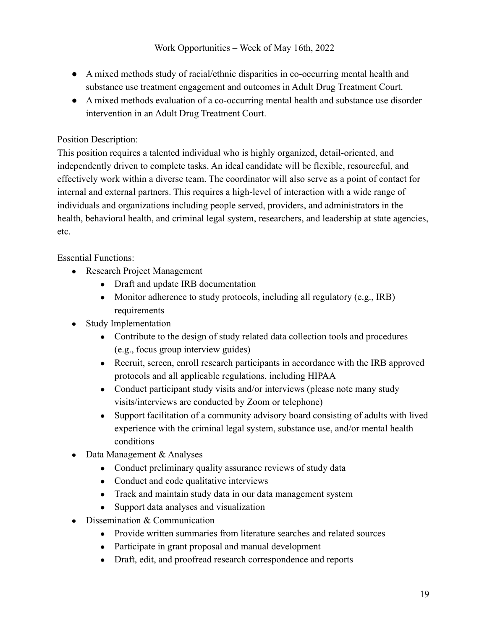- A mixed methods study of racial/ethnic disparities in co-occurring mental health and substance use treatment engagement and outcomes in Adult Drug Treatment Court.
- A mixed methods evaluation of a co-occurring mental health and substance use disorder intervention in an Adult Drug Treatment Court.

## Position Description:

This position requires a talented individual who is highly organized, detail-oriented, and independently driven to complete tasks. An ideal candidate will be flexible, resourceful, and effectively work within a diverse team. The coordinator will also serve as a point of contact for internal and external partners. This requires a high-level of interaction with a wide range of individuals and organizations including people served, providers, and administrators in the health, behavioral health, and criminal legal system, researchers, and leadership at state agencies, etc.

## Essential Functions:

- Research Project Management
	- Draft and update IRB documentation
	- Monitor adherence to study protocols, including all regulatory (e.g., IRB) requirements
- **Study Implementation** 
	- Contribute to the design of study related data collection tools and procedures (e.g., focus group interview guides)
	- Recruit, screen, enroll research participants in accordance with the IRB approved protocols and all applicable regulations, including HIPAA
	- Conduct participant study visits and/or interviews (please note many study visits/interviews are conducted by Zoom or telephone)
	- Support facilitation of a community advisory board consisting of adults with lived experience with the criminal legal system, substance use, and/or mental health conditions
- Data Management & Analyses
	- Conduct preliminary quality assurance reviews of study data
	- Conduct and code qualitative interviews
	- Track and maintain study data in our data management system
	- Support data analyses and visualization
- Dissemination & Communication
	- Provide written summaries from literature searches and related sources
	- Participate in grant proposal and manual development
	- Draft, edit, and proofread research correspondence and reports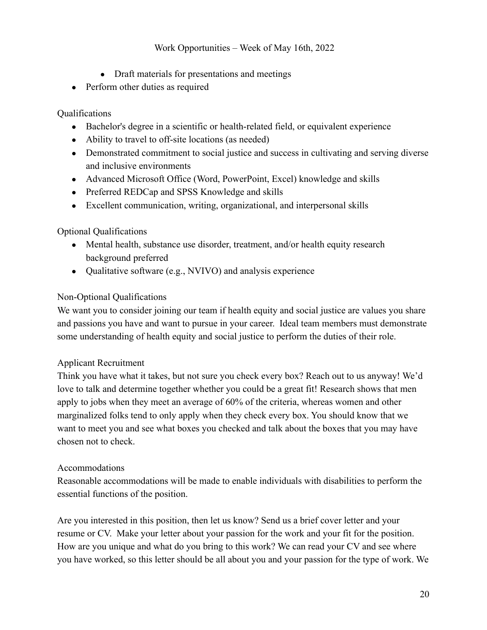- Draft materials for presentations and meetings
- Perform other duties as required

### Qualifications

- Bachelor's degree in a scientific or health-related field, or equivalent experience
- Ability to travel to off-site locations (as needed)
- Demonstrated commitment to social justice and success in cultivating and serving diverse and inclusive environments
- Advanced Microsoft Office (Word, PowerPoint, Excel) knowledge and skills
- Preferred REDCap and SPSS Knowledge and skills
- Excellent communication, writing, organizational, and interpersonal skills

### Optional Qualifications

- Mental health, substance use disorder, treatment, and/or health equity research background preferred
- Qualitative software (e.g., NVIVO) and analysis experience

### Non-Optional Qualifications

We want you to consider joining our team if health equity and social justice are values you share and passions you have and want to pursue in your career. Ideal team members must demonstrate some understanding of health equity and social justice to perform the duties of their role.

#### Applicant Recruitment

Think you have what it takes, but not sure you check every box? Reach out to us anyway! We'd love to talk and determine together whether you could be a great fit! Research shows that men apply to jobs when they meet an average of 60% of the criteria, whereas women and other marginalized folks tend to only apply when they check every box. You should know that we want to meet you and see what boxes you checked and talk about the boxes that you may have chosen not to check.

#### Accommodations

Reasonable accommodations will be made to enable individuals with disabilities to perform the essential functions of the position.

Are you interested in this position, then let us know? Send us a brief cover letter and your resume or CV. Make your letter about your passion for the work and your fit for the position. How are you unique and what do you bring to this work? We can read your CV and see where you have worked, so this letter should be all about you and your passion for the type of work. We